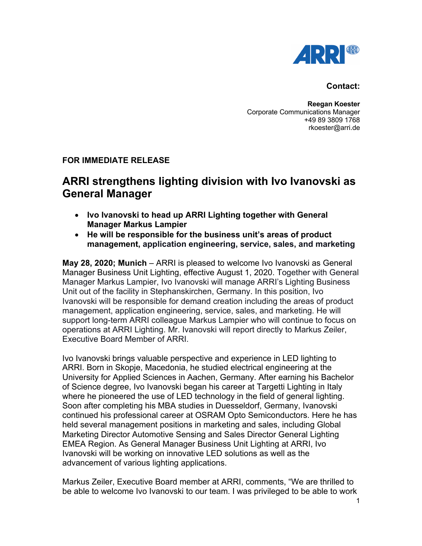

## **Contact:**

**Reegan Koester** Corporate Communications Manager +49 89 3809 1768 rkoester@arri.de

## **FOR IMMEDIATE RELEASE**

## **ARRI strengthens lighting division with Ivo Ivanovski as General Manager**

- **Ivo Ivanovski to head up ARRI Lighting together with General Manager Markus Lampier**
- **He will be responsible for the business unit's areas of product management, application engineering, service, sales, and marketing**

**May 28, 2020; Munich** – ARRI is pleased to welcome Ivo Ivanovski as General Manager Business Unit Lighting, effective August 1, 2020. Together with General Manager Markus Lampier, Ivo Ivanovski will manage ARRI's Lighting Business Unit out of the facility in Stephanskirchen, Germany. In this position, Ivo Ivanovski will be responsible for demand creation including the areas of product management, application engineering, service, sales, and marketing. He will support long-term ARRI colleague Markus Lampier who will continue to focus on operations at ARRI Lighting. Mr. Ivanovski will report directly to Markus Zeiler, Executive Board Member of ARRI.

Ivo Ivanovski brings valuable perspective and experience in LED lighting to ARRI. Born in Skopje, Macedonia, he studied electrical engineering at the University for Applied Sciences in Aachen, Germany. After earning his Bachelor of Science degree, Ivo Ivanovski began his career at Targetti Lighting in Italy where he pioneered the use of LED technology in the field of general lighting. Soon after completing his MBA studies in Duesseldorf, Germany, Ivanovski continued his professional career at OSRAM Opto Semiconductors. Here he has held several management positions in marketing and sales, including Global Marketing Director Automotive Sensing and Sales Director General Lighting EMEA Region. As General Manager Business Unit Lighting at ARRI, Ivo Ivanovski will be working on innovative LED solutions as well as the advancement of various lighting applications.

Markus Zeiler, Executive Board member at ARRI, comments, "We are thrilled to be able to welcome Ivo Ivanovski to our team. I was privileged to be able to work